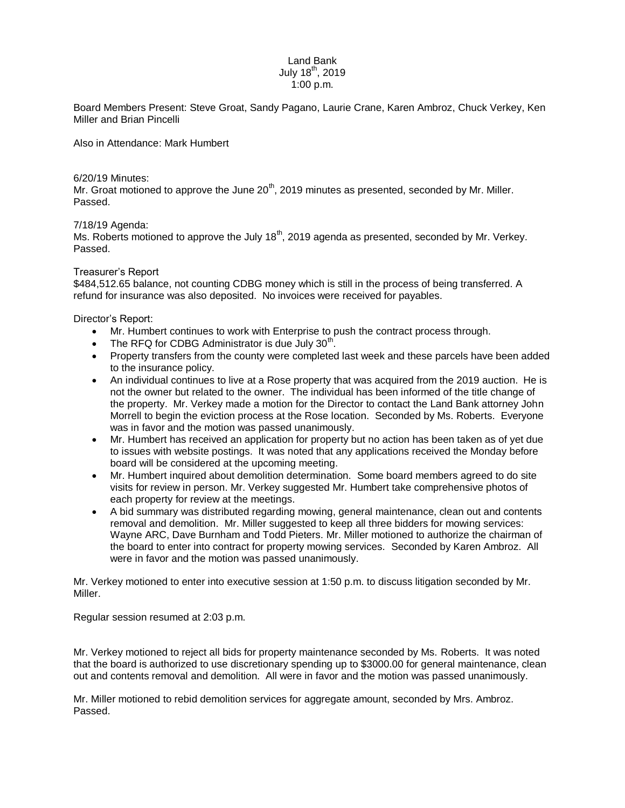## Land Bank July  $18^{th}$ , 2019 1:00 p.m.

Board Members Present: Steve Groat, Sandy Pagano, Laurie Crane, Karen Ambroz, Chuck Verkey, Ken Miller and Brian Pincelli

Also in Attendance: Mark Humbert

6/20/19 Minutes:

Mr. Groat motioned to approve the June  $20<sup>th</sup>$ , 2019 minutes as presented, seconded by Mr. Miller. Passed.

7/18/19 Agenda:

Ms. Roberts motioned to approve the July  $18<sup>th</sup>$ , 2019 agenda as presented, seconded by Mr. Verkey. Passed.

## Treasurer's Report

\$484,512.65 balance, not counting CDBG money which is still in the process of being transferred. A refund for insurance was also deposited. No invoices were received for payables.

Director's Report:

- Mr. Humbert continues to work with Enterprise to push the contract process through.
- The RFQ for CDBG Administrator is due July  $30<sup>th</sup>$ .
- Property transfers from the county were completed last week and these parcels have been added to the insurance policy.
- An individual continues to live at a Rose property that was acquired from the 2019 auction. He is not the owner but related to the owner. The individual has been informed of the title change of the property. Mr. Verkey made a motion for the Director to contact the Land Bank attorney John Morrell to begin the eviction process at the Rose location. Seconded by Ms. Roberts. Everyone was in favor and the motion was passed unanimously.
- Mr. Humbert has received an application for property but no action has been taken as of yet due to issues with website postings. It was noted that any applications received the Monday before board will be considered at the upcoming meeting.
- Mr. Humbert inquired about demolition determination. Some board members agreed to do site visits for review in person. Mr. Verkey suggested Mr. Humbert take comprehensive photos of each property for review at the meetings.
- A bid summary was distributed regarding mowing, general maintenance, clean out and contents removal and demolition. Mr. Miller suggested to keep all three bidders for mowing services: Wayne ARC, Dave Burnham and Todd Pieters. Mr. Miller motioned to authorize the chairman of the board to enter into contract for property mowing services. Seconded by Karen Ambroz. All were in favor and the motion was passed unanimously.

Mr. Verkey motioned to enter into executive session at 1:50 p.m. to discuss litigation seconded by Mr. Miller.

Regular session resumed at 2:03 p.m.

Mr. Verkey motioned to reject all bids for property maintenance seconded by Ms. Roberts. It was noted that the board is authorized to use discretionary spending up to \$3000.00 for general maintenance, clean out and contents removal and demolition. All were in favor and the motion was passed unanimously.

Mr. Miller motioned to rebid demolition services for aggregate amount, seconded by Mrs. Ambroz. Passed.